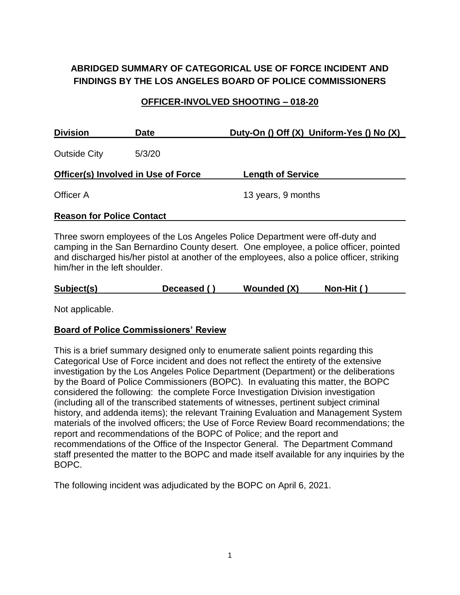# **ABRIDGED SUMMARY OF CATEGORICAL USE OF FORCE INCIDENT AND FINDINGS BY THE LOS ANGELES BOARD OF POLICE COMMISSIONERS**

### **OFFICER-INVOLVED SHOOTING – 018-20**

| <b>Division</b>                            | <b>Date</b> | Duty-On () Off (X) Uniform-Yes () No (X) |
|--------------------------------------------|-------------|------------------------------------------|
| <b>Outside City</b>                        | 5/3/20      |                                          |
| <b>Officer(s) Involved in Use of Force</b> |             | <b>Length of Service</b>                 |
| Officer A                                  |             | 13 years, 9 months                       |
| <b>Reason for Police Contact</b>           |             |                                          |

Three sworn employees of the Los Angeles Police Department were off-duty and camping in the San Bernardino County desert. One employee, a police officer, pointed and discharged his/her pistol at another of the employees, also a police officer, striking him/her in the left shoulder.

| Subject(s)<br><b>Wounded (X)</b><br>Non-Hit ()<br>Deceased () |  |
|---------------------------------------------------------------|--|
|---------------------------------------------------------------|--|

Not applicable.

### **Board of Police Commissioners' Review**

This is a brief summary designed only to enumerate salient points regarding this Categorical Use of Force incident and does not reflect the entirety of the extensive investigation by the Los Angeles Police Department (Department) or the deliberations by the Board of Police Commissioners (BOPC). In evaluating this matter, the BOPC considered the following: the complete Force Investigation Division investigation (including all of the transcribed statements of witnesses, pertinent subject criminal history, and addenda items); the relevant Training Evaluation and Management System materials of the involved officers; the Use of Force Review Board recommendations; the report and recommendations of the BOPC of Police; and the report and recommendations of the Office of the Inspector General. The Department Command staff presented the matter to the BOPC and made itself available for any inquiries by the BOPC.

The following incident was adjudicated by the BOPC on April 6, 2021.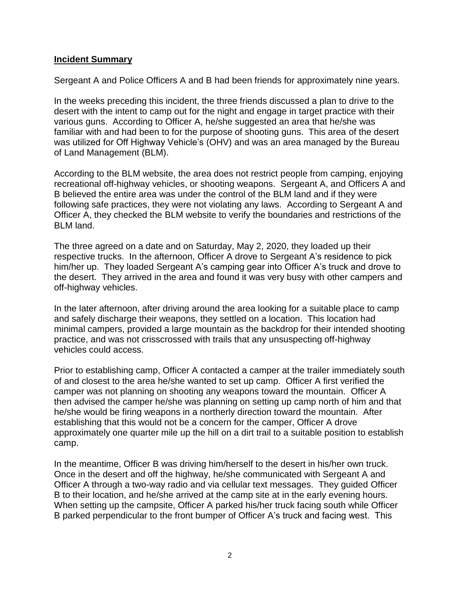#### **Incident Summary**

Sergeant A and Police Officers A and B had been friends for approximately nine years.

In the weeks preceding this incident, the three friends discussed a plan to drive to the desert with the intent to camp out for the night and engage in target practice with their various guns. According to Officer A, he/she suggested an area that he/she was familiar with and had been to for the purpose of shooting guns. This area of the desert was utilized for Off Highway Vehicle's (OHV) and was an area managed by the Bureau of Land Management (BLM).

According to the BLM website, the area does not restrict people from camping, enjoying recreational off-highway vehicles, or shooting weapons. Sergeant A, and Officers A and B believed the entire area was under the control of the BLM land and if they were following safe practices, they were not violating any laws. According to Sergeant A and Officer A, they checked the BLM website to verify the boundaries and restrictions of the BLM land.

The three agreed on a date and on Saturday, May 2, 2020, they loaded up their respective trucks. In the afternoon, Officer A drove to Sergeant A's residence to pick him/her up. They loaded Sergeant A's camping gear into Officer A's truck and drove to the desert. They arrived in the area and found it was very busy with other campers and off-highway vehicles.

In the later afternoon, after driving around the area looking for a suitable place to camp and safely discharge their weapons, they settled on a location. This location had minimal campers, provided a large mountain as the backdrop for their intended shooting practice, and was not crisscrossed with trails that any unsuspecting off-highway vehicles could access.

Prior to establishing camp, Officer A contacted a camper at the trailer immediately south of and closest to the area he/she wanted to set up camp. Officer A first verified the camper was not planning on shooting any weapons toward the mountain. Officer A then advised the camper he/she was planning on setting up camp north of him and that he/she would be firing weapons in a northerly direction toward the mountain. After establishing that this would not be a concern for the camper, Officer A drove approximately one quarter mile up the hill on a dirt trail to a suitable position to establish camp.

In the meantime, Officer B was driving him/herself to the desert in his/her own truck. Once in the desert and off the highway, he/she communicated with Sergeant A and Officer A through a two-way radio and via cellular text messages. They guided Officer B to their location, and he/she arrived at the camp site at in the early evening hours. When setting up the campsite, Officer A parked his/her truck facing south while Officer B parked perpendicular to the front bumper of Officer A's truck and facing west. This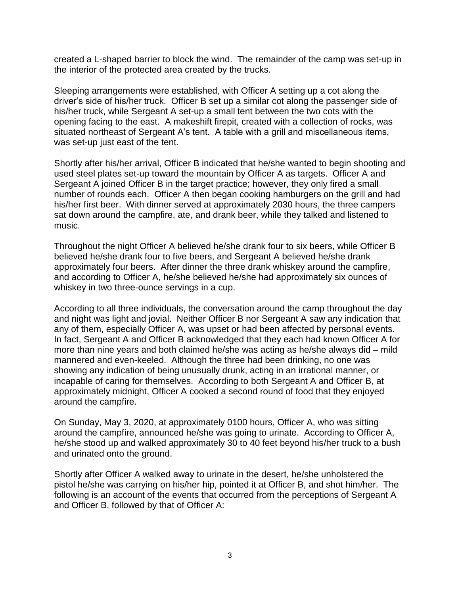created a L-shaped barrier to block the wind. The remainder of the camp was set-up in the interior of the protected area created by the trucks.

Sleeping arrangements were established, with Officer A setting up a cot along the driver's side of his/her truck. Officer B set up a similar cot along the passenger side of his/her truck, while Sergeant A set-up a small tent between the two cots with the opening facing to the east. A makeshift firepit, created with a collection of rocks, was situated northeast of Sergeant A's tent. A table with a grill and miscellaneous items, was set-up just east of the tent.

Shortly after his/her arrival, Officer B indicated that he/she wanted to begin shooting and used steel plates set-up toward the mountain by Officer A as targets. Officer A and Sergeant A joined Officer B in the target practice; however, they only fired a small number of rounds each. Officer A then began cooking hamburgers on the grill and had his/her first beer. With dinner served at approximately 2030 hours, the three campers sat down around the campfire, ate, and drank beer, while they talked and listened to music.

Throughout the night Officer A believed he/she drank four to six beers, while Officer B believed he/she drank four to five beers, and Sergeant A believed he/she drank approximately four beers. After dinner the three drank whiskey around the campfire, and according to Officer A, he/she believed he/she had approximately six ounces of whiskey in two three-ounce servings in a cup.

According to all three individuals, the conversation around the camp throughout the day and night was light and jovial. Neither Officer B nor Sergeant A saw any indication that any of them, especially Officer A, was upset or had been affected by personal events. In fact, Sergeant A and Officer B acknowledged that they each had known Officer A for more than nine years and both claimed he/she was acting as he/she always did – mild mannered and even-keeled. Although the three had been drinking, no one was showing any indication of being unusually drunk, acting in an irrational manner, or incapable of caring for themselves. According to both Sergeant A and Officer B, at approximately midnight, Officer A cooked a second round of food that they enjoyed around the campfire.

On Sunday, May 3, 2020, at approximately 0100 hours, Officer A, who was sitting around the campfire, announced he/she was going to urinate. According to Officer A, he/she stood up and walked approximately 30 to 40 feet beyond his/her truck to a bush and urinated onto the ground.

Shortly after Officer A walked away to urinate in the desert, he/she unholstered the pistol he/she was carrying on his/her hip, pointed it at Officer B, and shot him/her. The following is an account of the events that occurred from the perceptions of Sergeant A and Officer B, followed by that of Officer A: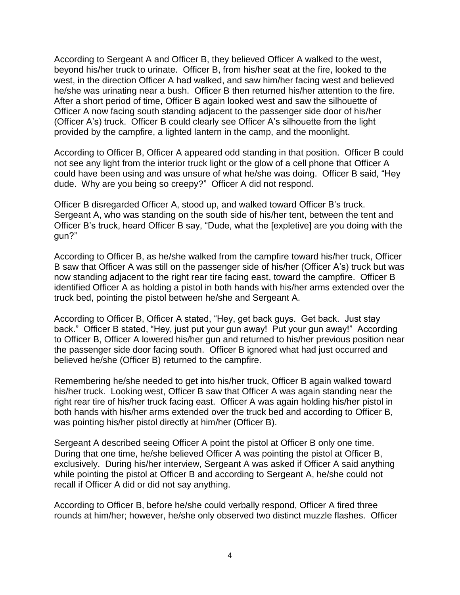According to Sergeant A and Officer B, they believed Officer A walked to the west, beyond his/her truck to urinate. Officer B, from his/her seat at the fire, looked to the west, in the direction Officer A had walked, and saw him/her facing west and believed he/she was urinating near a bush. Officer B then returned his/her attention to the fire. After a short period of time, Officer B again looked west and saw the silhouette of Officer A now facing south standing adjacent to the passenger side door of his/her (Officer A's) truck. Officer B could clearly see Officer A's silhouette from the light provided by the campfire, a lighted lantern in the camp, and the moonlight.

According to Officer B, Officer A appeared odd standing in that position. Officer B could not see any light from the interior truck light or the glow of a cell phone that Officer A could have been using and was unsure of what he/she was doing. Officer B said, "Hey dude. Why are you being so creepy?" Officer A did not respond.

Officer B disregarded Officer A, stood up, and walked toward Officer B's truck. Sergeant A, who was standing on the south side of his/her tent, between the tent and Officer B's truck, heard Officer B say, "Dude, what the [expletive] are you doing with the gun?"

According to Officer B, as he/she walked from the campfire toward his/her truck, Officer B saw that Officer A was still on the passenger side of his/her (Officer A's) truck but was now standing adjacent to the right rear tire facing east, toward the campfire. Officer B identified Officer A as holding a pistol in both hands with his/her arms extended over the truck bed, pointing the pistol between he/she and Sergeant A.

According to Officer B, Officer A stated, "Hey, get back guys. Get back. Just stay back." Officer B stated, "Hey, just put your gun away! Put your gun away!" According to Officer B, Officer A lowered his/her gun and returned to his/her previous position near the passenger side door facing south. Officer B ignored what had just occurred and believed he/she (Officer B) returned to the campfire.

Remembering he/she needed to get into his/her truck, Officer B again walked toward his/her truck. Looking west, Officer B saw that Officer A was again standing near the right rear tire of his/her truck facing east. Officer A was again holding his/her pistol in both hands with his/her arms extended over the truck bed and according to Officer B, was pointing his/her pistol directly at him/her (Officer B).

Sergeant A described seeing Officer A point the pistol at Officer B only one time. During that one time, he/she believed Officer A was pointing the pistol at Officer B, exclusively. During his/her interview, Sergeant A was asked if Officer A said anything while pointing the pistol at Officer B and according to Sergeant A, he/she could not recall if Officer A did or did not say anything.

According to Officer B, before he/she could verbally respond, Officer A fired three rounds at him/her; however, he/she only observed two distinct muzzle flashes. Officer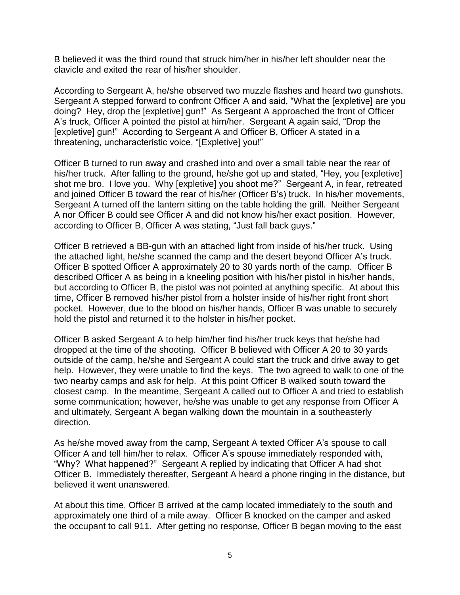B believed it was the third round that struck him/her in his/her left shoulder near the clavicle and exited the rear of his/her shoulder.

According to Sergeant A, he/she observed two muzzle flashes and heard two gunshots. Sergeant A stepped forward to confront Officer A and said, "What the [expletive] are you doing? Hey, drop the [expletive] gun!" As Sergeant A approached the front of Officer A's truck, Officer A pointed the pistol at him/her. Sergeant A again said, "Drop the [expletive] gun!" According to Sergeant A and Officer B, Officer A stated in a threatening, uncharacteristic voice, "[Expletive] you!"

Officer B turned to run away and crashed into and over a small table near the rear of his/her truck. After falling to the ground, he/she got up and stated, "Hey, you [expletive] shot me bro. I love you. Why [expletive] you shoot me?" Sergeant A, in fear, retreated and joined Officer B toward the rear of his/her (Officer B's) truck. In his/her movements, Sergeant A turned off the lantern sitting on the table holding the grill. Neither Sergeant A nor Officer B could see Officer A and did not know his/her exact position. However, according to Officer B, Officer A was stating, "Just fall back guys."

Officer B retrieved a BB-gun with an attached light from inside of his/her truck. Using the attached light, he/she scanned the camp and the desert beyond Officer A's truck. Officer B spotted Officer A approximately 20 to 30 yards north of the camp. Officer B described Officer A as being in a kneeling position with his/her pistol in his/her hands, but according to Officer B, the pistol was not pointed at anything specific. At about this time, Officer B removed his/her pistol from a holster inside of his/her right front short pocket. However, due to the blood on his/her hands, Officer B was unable to securely hold the pistol and returned it to the holster in his/her pocket.

Officer B asked Sergeant A to help him/her find his/her truck keys that he/she had dropped at the time of the shooting. Officer B believed with Officer A 20 to 30 yards outside of the camp, he/she and Sergeant A could start the truck and drive away to get help. However, they were unable to find the keys. The two agreed to walk to one of the two nearby camps and ask for help. At this point Officer B walked south toward the closest camp. In the meantime, Sergeant A called out to Officer A and tried to establish some communication; however, he/she was unable to get any response from Officer A and ultimately, Sergeant A began walking down the mountain in a southeasterly direction.

As he/she moved away from the camp, Sergeant A texted Officer A's spouse to call Officer A and tell him/her to relax. Officer A's spouse immediately responded with, "Why? What happened?" Sergeant A replied by indicating that Officer A had shot Officer B. Immediately thereafter, Sergeant A heard a phone ringing in the distance, but believed it went unanswered.

At about this time, Officer B arrived at the camp located immediately to the south and approximately one third of a mile away. Officer B knocked on the camper and asked the occupant to call 911. After getting no response, Officer B began moving to the east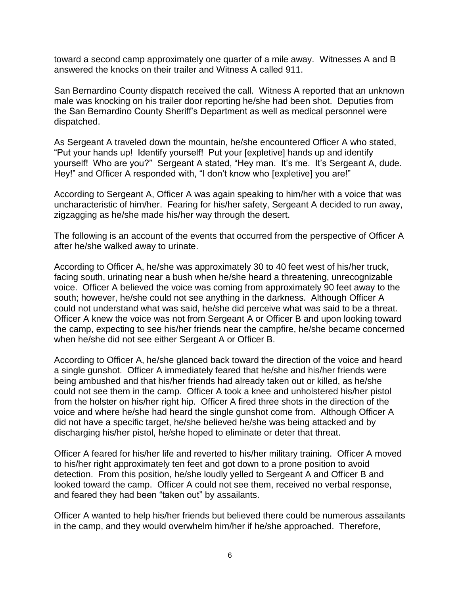toward a second camp approximately one quarter of a mile away. Witnesses A and B answered the knocks on their trailer and Witness A called 911.

San Bernardino County dispatch received the call. Witness A reported that an unknown male was knocking on his trailer door reporting he/she had been shot. Deputies from the San Bernardino County Sheriff's Department as well as medical personnel were dispatched.

As Sergeant A traveled down the mountain, he/she encountered Officer A who stated, "Put your hands up! Identify yourself! Put your [expletive] hands up and identify yourself! Who are you?" Sergeant A stated, "Hey man. It's me. It's Sergeant A, dude. Hey!" and Officer A responded with, "I don't know who [expletive] you are!"

According to Sergeant A, Officer A was again speaking to him/her with a voice that was uncharacteristic of him/her. Fearing for his/her safety, Sergeant A decided to run away, zigzagging as he/she made his/her way through the desert.

The following is an account of the events that occurred from the perspective of Officer A after he/she walked away to urinate.

According to Officer A, he/she was approximately 30 to 40 feet west of his/her truck, facing south, urinating near a bush when he/she heard a threatening, unrecognizable voice. Officer A believed the voice was coming from approximately 90 feet away to the south; however, he/she could not see anything in the darkness. Although Officer A could not understand what was said, he/she did perceive what was said to be a threat. Officer A knew the voice was not from Sergeant A or Officer B and upon looking toward the camp, expecting to see his/her friends near the campfire, he/she became concerned when he/she did not see either Sergeant A or Officer B.

According to Officer A, he/she glanced back toward the direction of the voice and heard a single gunshot. Officer A immediately feared that he/she and his/her friends were being ambushed and that his/her friends had already taken out or killed, as he/she could not see them in the camp. Officer A took a knee and unholstered his/her pistol from the holster on his/her right hip. Officer A fired three shots in the direction of the voice and where he/she had heard the single gunshot come from. Although Officer A did not have a specific target, he/she believed he/she was being attacked and by discharging his/her pistol, he/she hoped to eliminate or deter that threat.

Officer A feared for his/her life and reverted to his/her military training. Officer A moved to his/her right approximately ten feet and got down to a prone position to avoid detection. From this position, he/she loudly yelled to Sergeant A and Officer B and looked toward the camp. Officer A could not see them, received no verbal response, and feared they had been "taken out" by assailants.

Officer A wanted to help his/her friends but believed there could be numerous assailants in the camp, and they would overwhelm him/her if he/she approached. Therefore,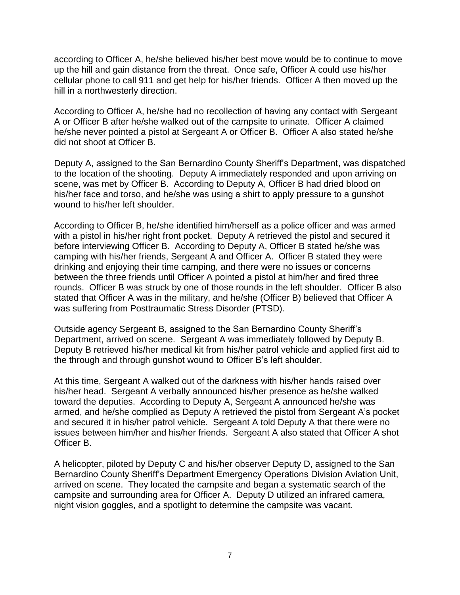according to Officer A, he/she believed his/her best move would be to continue to move up the hill and gain distance from the threat. Once safe, Officer A could use his/her cellular phone to call 911 and get help for his/her friends. Officer A then moved up the hill in a northwesterly direction.

According to Officer A, he/she had no recollection of having any contact with Sergeant A or Officer B after he/she walked out of the campsite to urinate. Officer A claimed he/she never pointed a pistol at Sergeant A or Officer B. Officer A also stated he/she did not shoot at Officer B.

Deputy A, assigned to the San Bernardino County Sheriff's Department, was dispatched to the location of the shooting. Deputy A immediately responded and upon arriving on scene, was met by Officer B. According to Deputy A, Officer B had dried blood on his/her face and torso, and he/she was using a shirt to apply pressure to a gunshot wound to his/her left shoulder.

According to Officer B, he/she identified him/herself as a police officer and was armed with a pistol in his/her right front pocket. Deputy A retrieved the pistol and secured it before interviewing Officer B. According to Deputy A, Officer B stated he/she was camping with his/her friends, Sergeant A and Officer A. Officer B stated they were drinking and enjoying their time camping, and there were no issues or concerns between the three friends until Officer A pointed a pistol at him/her and fired three rounds. Officer B was struck by one of those rounds in the left shoulder. Officer B also stated that Officer A was in the military, and he/she (Officer B) believed that Officer A was suffering from Posttraumatic Stress Disorder (PTSD).

Outside agency Sergeant B, assigned to the San Bernardino County Sheriff's Department, arrived on scene. Sergeant A was immediately followed by Deputy B. Deputy B retrieved his/her medical kit from his/her patrol vehicle and applied first aid to the through and through gunshot wound to Officer B's left shoulder.

At this time, Sergeant A walked out of the darkness with his/her hands raised over his/her head. Sergeant A verbally announced his/her presence as he/she walked toward the deputies. According to Deputy A, Sergeant A announced he/she was armed, and he/she complied as Deputy A retrieved the pistol from Sergeant A's pocket and secured it in his/her patrol vehicle. Sergeant A told Deputy A that there were no issues between him/her and his/her friends. Sergeant A also stated that Officer A shot Officer B.

A helicopter, piloted by Deputy C and his/her observer Deputy D, assigned to the San Bernardino County Sheriff's Department Emergency Operations Division Aviation Unit, arrived on scene. They located the campsite and began a systematic search of the campsite and surrounding area for Officer A. Deputy D utilized an infrared camera, night vision goggles, and a spotlight to determine the campsite was vacant.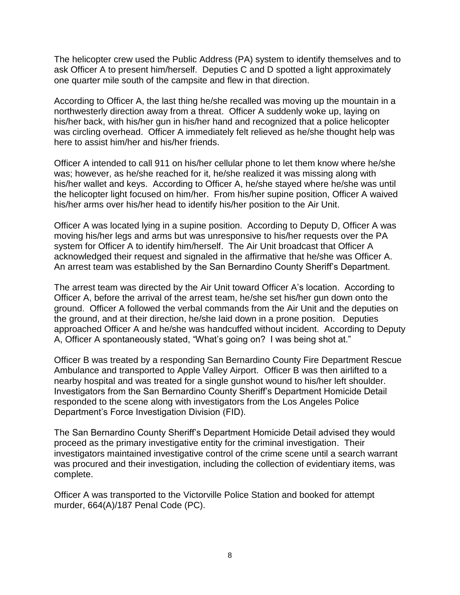The helicopter crew used the Public Address (PA) system to identify themselves and to ask Officer A to present him/herself. Deputies C and D spotted a light approximately one quarter mile south of the campsite and flew in that direction.

According to Officer A, the last thing he/she recalled was moving up the mountain in a northwesterly direction away from a threat. Officer A suddenly woke up, laying on his/her back, with his/her gun in his/her hand and recognized that a police helicopter was circling overhead. Officer A immediately felt relieved as he/she thought help was here to assist him/her and his/her friends.

Officer A intended to call 911 on his/her cellular phone to let them know where he/she was; however, as he/she reached for it, he/she realized it was missing along with his/her wallet and keys. According to Officer A, he/she stayed where he/she was until the helicopter light focused on him/her. From his/her supine position, Officer A waived his/her arms over his/her head to identify his/her position to the Air Unit.

Officer A was located lying in a supine position. According to Deputy D, Officer A was moving his/her legs and arms but was unresponsive to his/her requests over the PA system for Officer A to identify him/herself. The Air Unit broadcast that Officer A acknowledged their request and signaled in the affirmative that he/she was Officer A. An arrest team was established by the San Bernardino County Sheriff's Department.

The arrest team was directed by the Air Unit toward Officer A's location. According to Officer A, before the arrival of the arrest team, he/she set his/her gun down onto the ground. Officer A followed the verbal commands from the Air Unit and the deputies on the ground, and at their direction, he/she laid down in a prone position. Deputies approached Officer A and he/she was handcuffed without incident. According to Deputy A, Officer A spontaneously stated, "What's going on? I was being shot at."

Officer B was treated by a responding San Bernardino County Fire Department Rescue Ambulance and transported to Apple Valley Airport. Officer B was then airlifted to a nearby hospital and was treated for a single gunshot wound to his/her left shoulder. Investigators from the San Bernardino County Sheriff's Department Homicide Detail responded to the scene along with investigators from the Los Angeles Police Department's Force Investigation Division (FID).

The San Bernardino County Sheriff's Department Homicide Detail advised they would proceed as the primary investigative entity for the criminal investigation. Their investigators maintained investigative control of the crime scene until a search warrant was procured and their investigation, including the collection of evidentiary items, was complete.

Officer A was transported to the Victorville Police Station and booked for attempt murder, 664(A)/187 Penal Code (PC).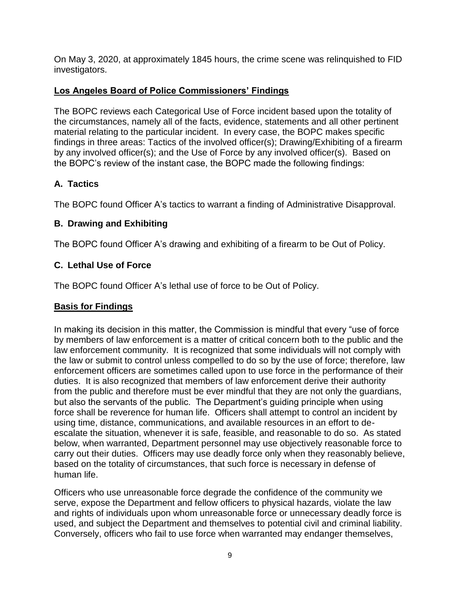On May 3, 2020, at approximately 1845 hours, the crime scene was relinquished to FID investigators.

# **Los Angeles Board of Police Commissioners' Findings**

The BOPC reviews each Categorical Use of Force incident based upon the totality of the circumstances, namely all of the facts, evidence, statements and all other pertinent material relating to the particular incident. In every case, the BOPC makes specific findings in three areas: Tactics of the involved officer(s); Drawing/Exhibiting of a firearm by any involved officer(s); and the Use of Force by any involved officer(s). Based on the BOPC's review of the instant case, the BOPC made the following findings:

# **A. Tactics**

The BOPC found Officer A's tactics to warrant a finding of Administrative Disapproval.

# **B. Drawing and Exhibiting**

The BOPC found Officer A's drawing and exhibiting of a firearm to be Out of Policy.

# **C. Lethal Use of Force**

The BOPC found Officer A's lethal use of force to be Out of Policy.

# **Basis for Findings**

In making its decision in this matter, the Commission is mindful that every "use of force by members of law enforcement is a matter of critical concern both to the public and the law enforcement community. It is recognized that some individuals will not comply with the law or submit to control unless compelled to do so by the use of force; therefore, law enforcement officers are sometimes called upon to use force in the performance of their duties. It is also recognized that members of law enforcement derive their authority from the public and therefore must be ever mindful that they are not only the guardians, but also the servants of the public. The Department's guiding principle when using force shall be reverence for human life. Officers shall attempt to control an incident by using time, distance, communications, and available resources in an effort to deescalate the situation, whenever it is safe, feasible, and reasonable to do so. As stated below, when warranted, Department personnel may use objectively reasonable force to carry out their duties. Officers may use deadly force only when they reasonably believe, based on the totality of circumstances, that such force is necessary in defense of human life.

Officers who use unreasonable force degrade the confidence of the community we serve, expose the Department and fellow officers to physical hazards, violate the law and rights of individuals upon whom unreasonable force or unnecessary deadly force is used, and subject the Department and themselves to potential civil and criminal liability. Conversely, officers who fail to use force when warranted may endanger themselves,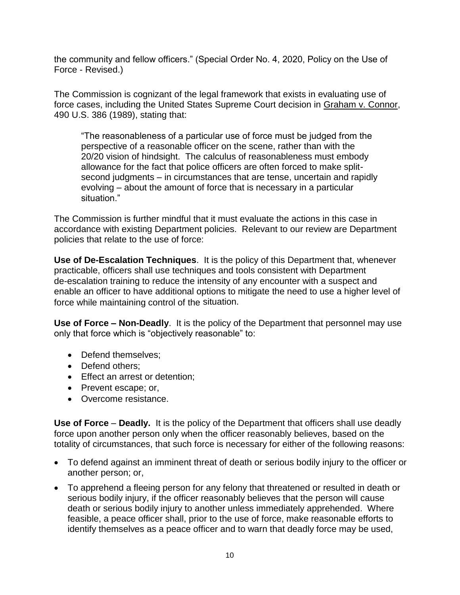the community and fellow officers." (Special Order No. 4, 2020, Policy on the Use of Force - Revised.)

The Commission is cognizant of the legal framework that exists in evaluating use of force cases, including the United States Supreme Court decision in Graham v. Connor, 490 U.S. 386 (1989), stating that:

"The reasonableness of a particular use of force must be judged from the perspective of a reasonable officer on the scene, rather than with the 20/20 vision of hindsight. The calculus of reasonableness must embody allowance for the fact that police officers are often forced to make splitsecond judgments – in circumstances that are tense, uncertain and rapidly evolving – about the amount of force that is necessary in a particular situation."

The Commission is further mindful that it must evaluate the actions in this case in accordance with existing Department policies. Relevant to our review are Department policies that relate to the use of force:

**Use of De-Escalation Techniques**. It is the policy of this Department that, whenever practicable, officers shall use techniques and tools consistent with Department de-escalation training to reduce the intensity of any encounter with a suspect and enable an officer to have additional options to mitigate the need to use a higher level of force while maintaining control of the situation.

**Use of Force – Non-Deadly**. It is the policy of the Department that personnel may use only that force which is "objectively reasonable" to:

- Defend themselves:
- Defend others:
- Effect an arrest or detention;
- Prevent escape; or,
- Overcome resistance.

**Use of Force** – **Deadly.** It is the policy of the Department that officers shall use deadly force upon another person only when the officer reasonably believes, based on the totality of circumstances, that such force is necessary for either of the following reasons:

- To defend against an imminent threat of death or serious bodily injury to the officer or another person; or,
- To apprehend a fleeing person for any felony that threatened or resulted in death or serious bodily injury, if the officer reasonably believes that the person will cause death or serious bodily injury to another unless immediately apprehended. Where feasible, a peace officer shall, prior to the use of force, make reasonable efforts to identify themselves as a peace officer and to warn that deadly force may be used,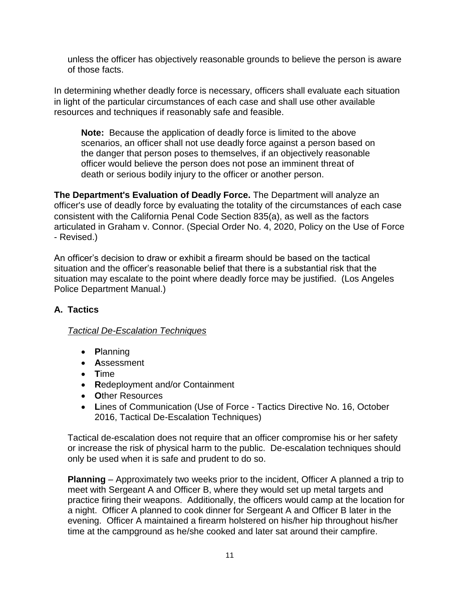unless the officer has objectively reasonable grounds to believe the person is aware of those facts.

In determining whether deadly force is necessary, officers shall evaluate each situation in light of the particular circumstances of each case and shall use other available resources and techniques if reasonably safe and feasible.

**Note:** Because the application of deadly force is limited to the above scenarios, an officer shall not use deadly force against a person based on the danger that person poses to themselves, if an objectively reasonable officer would believe the person does not pose an imminent threat of death or serious bodily injury to the officer or another person.

**The Department's Evaluation of Deadly Force.** The Department will analyze an officer's use of deadly force by evaluating the totality of the circumstances of each case consistent with the California Penal Code Section 835(a), as well as the factors articulated in Graham v. Connor. (Special Order No. 4, 2020, Policy on the Use of Force - Revised.)

An officer's decision to draw or exhibit a firearm should be based on the tactical situation and the officer's reasonable belief that there is a substantial risk that the situation may escalate to the point where deadly force may be justified. (Los Angeles Police Department Manual.)

# **A. Tactics**

### *Tactical De-Escalation Techniques*

- **P**lanning
- **A**ssessment
- **T**ime
- **R**edeployment and/or Containment
- **O**ther Resources
- **L**ines of Communication (Use of Force Tactics Directive No. 16, October 2016, Tactical De-Escalation Techniques)

Tactical de-escalation does not require that an officer compromise his or her safety or increase the risk of physical harm to the public. De-escalation techniques should only be used when it is safe and prudent to do so.

**Planning** – Approximately two weeks prior to the incident, Officer A planned a trip to meet with Sergeant A and Officer B, where they would set up metal targets and practice firing their weapons. Additionally, the officers would camp at the location for a night. Officer A planned to cook dinner for Sergeant A and Officer B later in the evening. Officer A maintained a firearm holstered on his/her hip throughout his/her time at the campground as he/she cooked and later sat around their campfire.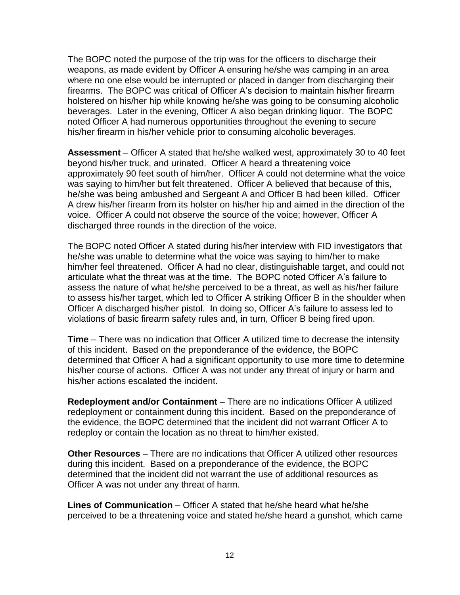The BOPC noted the purpose of the trip was for the officers to discharge their weapons, as made evident by Officer A ensuring he/she was camping in an area where no one else would be interrupted or placed in danger from discharging their firearms. The BOPC was critical of Officer A's decision to maintain his/her firearm holstered on his/her hip while knowing he/she was going to be consuming alcoholic beverages. Later in the evening, Officer A also began drinking liquor. The BOPC noted Officer A had numerous opportunities throughout the evening to secure his/her firearm in his/her vehicle prior to consuming alcoholic beverages.

**Assessment** – Officer A stated that he/she walked west, approximately 30 to 40 feet beyond his/her truck, and urinated. Officer A heard a threatening voice approximately 90 feet south of him/her. Officer A could not determine what the voice was saying to him/her but felt threatened. Officer A believed that because of this, he/she was being ambushed and Sergeant A and Officer B had been killed. Officer A drew his/her firearm from its holster on his/her hip and aimed in the direction of the voice. Officer A could not observe the source of the voice; however, Officer A discharged three rounds in the direction of the voice.

The BOPC noted Officer A stated during his/her interview with FID investigators that he/she was unable to determine what the voice was saying to him/her to make him/her feel threatened. Officer A had no clear, distinguishable target, and could not articulate what the threat was at the time. The BOPC noted Officer A's failure to assess the nature of what he/she perceived to be a threat, as well as his/her failure to assess his/her target, which led to Officer A striking Officer B in the shoulder when Officer A discharged his/her pistol. In doing so, Officer A's failure to assess led to violations of basic firearm safety rules and, in turn, Officer B being fired upon.

**Time** – There was no indication that Officer A utilized time to decrease the intensity of this incident. Based on the preponderance of the evidence, the BOPC determined that Officer A had a significant opportunity to use more time to determine his/her course of actions. Officer A was not under any threat of injury or harm and his/her actions escalated the incident.

**Redeployment and/or Containment** – There are no indications Officer A utilized redeployment or containment during this incident. Based on the preponderance of the evidence, the BOPC determined that the incident did not warrant Officer A to redeploy or contain the location as no threat to him/her existed.

**Other Resources** – There are no indications that Officer A utilized other resources during this incident. Based on a preponderance of the evidence, the BOPC determined that the incident did not warrant the use of additional resources as Officer A was not under any threat of harm.

**Lines of Communication** – Officer A stated that he/she heard what he/she perceived to be a threatening voice and stated he/she heard a gunshot, which came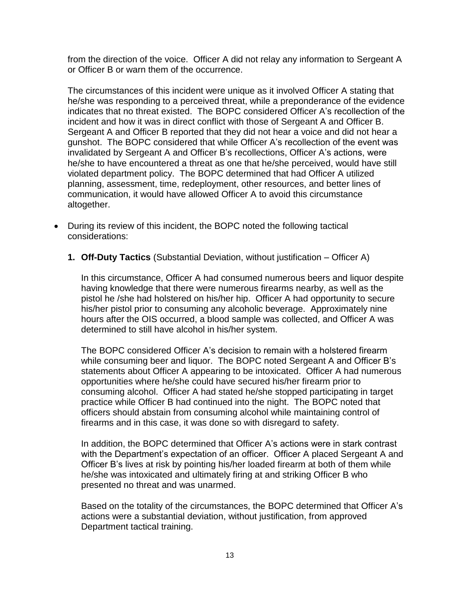from the direction of the voice. Officer A did not relay any information to Sergeant A or Officer B or warn them of the occurrence.

The circumstances of this incident were unique as it involved Officer A stating that he/she was responding to a perceived threat, while a preponderance of the evidence indicates that no threat existed. The BOPC considered Officer A's recollection of the incident and how it was in direct conflict with those of Sergeant A and Officer B. Sergeant A and Officer B reported that they did not hear a voice and did not hear a gunshot. The BOPC considered that while Officer A's recollection of the event was invalidated by Sergeant A and Officer B's recollections, Officer A's actions, were he/she to have encountered a threat as one that he/she perceived, would have still violated department policy. The BOPC determined that had Officer A utilized planning, assessment, time, redeployment, other resources, and better lines of communication, it would have allowed Officer A to avoid this circumstance altogether.

- During its review of this incident, the BOPC noted the following tactical considerations:
	- **1. Off-Duty Tactics** (Substantial Deviation, without justification Officer A)

In this circumstance, Officer A had consumed numerous beers and liquor despite having knowledge that there were numerous firearms nearby, as well as the pistol he /she had holstered on his/her hip. Officer A had opportunity to secure his/her pistol prior to consuming any alcoholic beverage. Approximately nine hours after the OIS occurred, a blood sample was collected, and Officer A was determined to still have alcohol in his/her system.

The BOPC considered Officer A's decision to remain with a holstered firearm while consuming beer and liquor. The BOPC noted Sergeant A and Officer B's statements about Officer A appearing to be intoxicated. Officer A had numerous opportunities where he/she could have secured his/her firearm prior to consuming alcohol. Officer A had stated he/she stopped participating in target practice while Officer B had continued into the night. The BOPC noted that officers should abstain from consuming alcohol while maintaining control of firearms and in this case, it was done so with disregard to safety.

In addition, the BOPC determined that Officer A's actions were in stark contrast with the Department's expectation of an officer. Officer A placed Sergeant A and Officer B's lives at risk by pointing his/her loaded firearm at both of them while he/she was intoxicated and ultimately firing at and striking Officer B who presented no threat and was unarmed.

Based on the totality of the circumstances, the BOPC determined that Officer A's actions were a substantial deviation, without justification, from approved Department tactical training.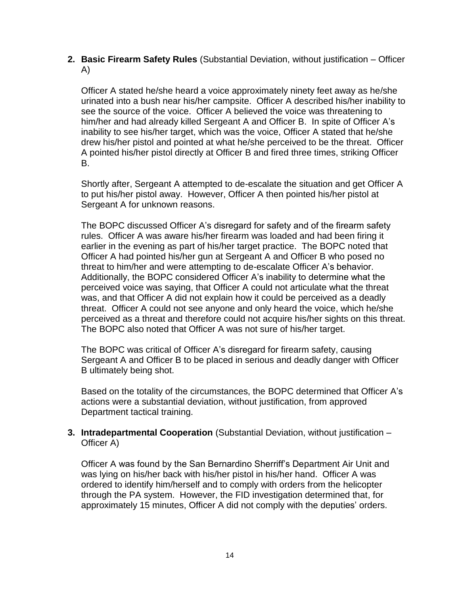**2. Basic Firearm Safety Rules** (Substantial Deviation, without justification – Officer A)

Officer A stated he/she heard a voice approximately ninety feet away as he/she urinated into a bush near his/her campsite. Officer A described his/her inability to see the source of the voice. Officer A believed the voice was threatening to him/her and had already killed Sergeant A and Officer B. In spite of Officer A's inability to see his/her target, which was the voice, Officer A stated that he/she drew his/her pistol and pointed at what he/she perceived to be the threat. Officer A pointed his/her pistol directly at Officer B and fired three times, striking Officer B.

Shortly after, Sergeant A attempted to de-escalate the situation and get Officer A to put his/her pistol away. However, Officer A then pointed his/her pistol at Sergeant A for unknown reasons.

The BOPC discussed Officer A's disregard for safety and of the firearm safety rules. Officer A was aware his/her firearm was loaded and had been firing it earlier in the evening as part of his/her target practice. The BOPC noted that Officer A had pointed his/her gun at Sergeant A and Officer B who posed no threat to him/her and were attempting to de-escalate Officer A's behavior. Additionally, the BOPC considered Officer A's inability to determine what the perceived voice was saying, that Officer A could not articulate what the threat was, and that Officer A did not explain how it could be perceived as a deadly threat. Officer A could not see anyone and only heard the voice, which he/she perceived as a threat and therefore could not acquire his/her sights on this threat. The BOPC also noted that Officer A was not sure of his/her target.

The BOPC was critical of Officer A's disregard for firearm safety, causing Sergeant A and Officer B to be placed in serious and deadly danger with Officer B ultimately being shot.

Based on the totality of the circumstances, the BOPC determined that Officer A's actions were a substantial deviation, without justification, from approved Department tactical training.

**3. Intradepartmental Cooperation** (Substantial Deviation, without justification – Officer A)

Officer A was found by the San Bernardino Sherriff's Department Air Unit and was lying on his/her back with his/her pistol in his/her hand. Officer A was ordered to identify him/herself and to comply with orders from the helicopter through the PA system. However, the FID investigation determined that, for approximately 15 minutes, Officer A did not comply with the deputies' orders.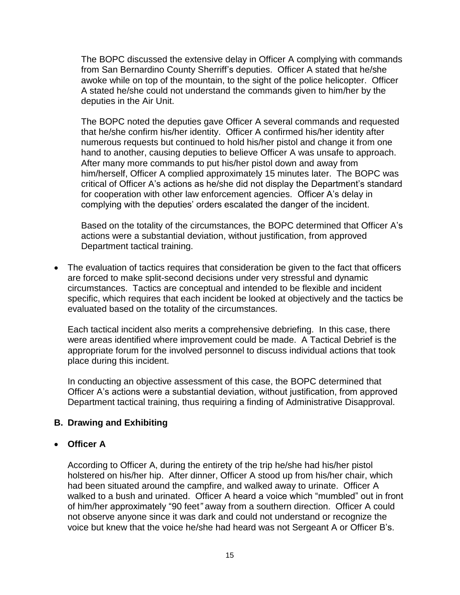The BOPC discussed the extensive delay in Officer A complying with commands from San Bernardino County Sherriff's deputies. Officer A stated that he/she awoke while on top of the mountain, to the sight of the police helicopter. Officer A stated he/she could not understand the commands given to him/her by the deputies in the Air Unit.

The BOPC noted the deputies gave Officer A several commands and requested that he/she confirm his/her identity. Officer A confirmed his/her identity after numerous requests but continued to hold his/her pistol and change it from one hand to another, causing deputies to believe Officer A was unsafe to approach. After many more commands to put his/her pistol down and away from him/herself, Officer A complied approximately 15 minutes later. The BOPC was critical of Officer A's actions as he/she did not display the Department's standard for cooperation with other law enforcement agencies. Officer A's delay in complying with the deputies' orders escalated the danger of the incident.

Based on the totality of the circumstances, the BOPC determined that Officer A's actions were a substantial deviation, without justification, from approved Department tactical training.

• The evaluation of tactics requires that consideration be given to the fact that officers are forced to make split-second decisions under very stressful and dynamic circumstances. Tactics are conceptual and intended to be flexible and incident specific, which requires that each incident be looked at objectively and the tactics be evaluated based on the totality of the circumstances.

Each tactical incident also merits a comprehensive debriefing. In this case, there were areas identified where improvement could be made. A Tactical Debrief is the appropriate forum for the involved personnel to discuss individual actions that took place during this incident.

In conducting an objective assessment of this case, the BOPC determined that Officer A's actions were a substantial deviation, without justification, from approved Department tactical training, thus requiring a finding of Administrative Disapproval.

#### **B. Drawing and Exhibiting**

#### • **Officer A**

According to Officer A, during the entirety of the trip he/she had his/her pistol holstered on his/her hip. After dinner, Officer A stood up from his/her chair, which had been situated around the campfire, and walked away to urinate. Officer A walked to a bush and urinated. Officer A heard a voice which "mumbled" out in front of him/her approximately "90 feet*"* away from a southern direction. Officer A could not observe anyone since it was dark and could not understand or recognize the voice but knew that the voice he/she had heard was not Sergeant A or Officer B's.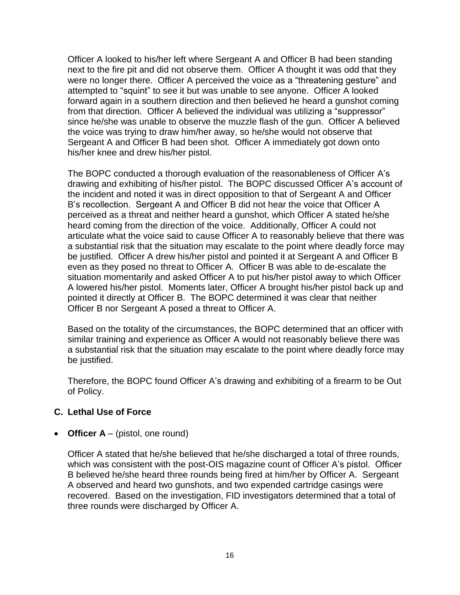Officer A looked to his/her left where Sergeant A and Officer B had been standing next to the fire pit and did not observe them. Officer A thought it was odd that they were no longer there. Officer A perceived the voice as a "threatening gesture" and attempted to "squint" to see it but was unable to see anyone. Officer A looked forward again in a southern direction and then believed he heard a gunshot coming from that direction. Officer A believed the individual was utilizing a "suppressor" since he/she was unable to observe the muzzle flash of the gun. Officer A believed the voice was trying to draw him/her away, so he/she would not observe that Sergeant A and Officer B had been shot. Officer A immediately got down onto his/her knee and drew his/her pistol.

The BOPC conducted a thorough evaluation of the reasonableness of Officer A's drawing and exhibiting of his/her pistol. The BOPC discussed Officer A's account of the incident and noted it was in direct opposition to that of Sergeant A and Officer B's recollection. Sergeant A and Officer B did not hear the voice that Officer A perceived as a threat and neither heard a gunshot, which Officer A stated he/she heard coming from the direction of the voice. Additionally, Officer A could not articulate what the voice said to cause Officer A to reasonably believe that there was a substantial risk that the situation may escalate to the point where deadly force may be justified. Officer A drew his/her pistol and pointed it at Sergeant A and Officer B even as they posed no threat to Officer A. Officer B was able to de-escalate the situation momentarily and asked Officer A to put his/her pistol away to which Officer A lowered his/her pistol. Moments later, Officer A brought his/her pistol back up and pointed it directly at Officer B. The BOPC determined it was clear that neither Officer B nor Sergeant A posed a threat to Officer A.

Based on the totality of the circumstances, the BOPC determined that an officer with similar training and experience as Officer A would not reasonably believe there was a substantial risk that the situation may escalate to the point where deadly force may be justified.

Therefore, the BOPC found Officer A's drawing and exhibiting of a firearm to be Out of Policy.

### **C. Lethal Use of Force**

• **Officer A** – (pistol, one round)

Officer A stated that he/she believed that he/she discharged a total of three rounds, which was consistent with the post-OIS magazine count of Officer A's pistol. Officer B believed he/she heard three rounds being fired at him/her by Officer A. Sergeant A observed and heard two gunshots, and two expended cartridge casings were recovered. Based on the investigation, FID investigators determined that a total of three rounds were discharged by Officer A.